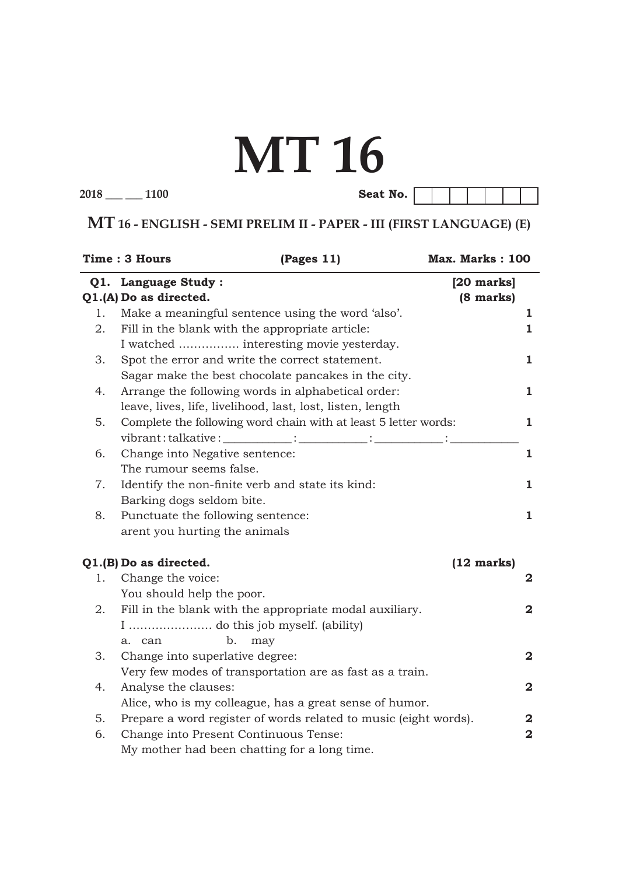# **MT 16**

**2018 \_\_\_ \_\_\_ 1100 Seat No.**

**MT 16 - ENGLISH - SEMI PRELIM II - PAPER - III (FIRST LANGUAGE) (E)**

|    | <b>Time: 3 Hours</b><br>(Pages 11)                               | Max. Marks: 100      |                         |
|----|------------------------------------------------------------------|----------------------|-------------------------|
|    | Q1. Language Study:                                              | $[20$ marks $]$      |                         |
|    | Q1.(A) Do as directed.                                           | $(8 \text{ marks})$  |                         |
| 1. | Make a meaningful sentence using the word 'also'.                |                      | ı                       |
| 2. | Fill in the blank with the appropriate article:                  |                      | $\mathbf{1}$            |
|    | I watched  interesting movie yesterday.                          |                      |                         |
| 3. | Spot the error and write the correct statement.                  |                      | 1                       |
|    | Sagar make the best chocolate pancakes in the city.              |                      |                         |
| 4. | Arrange the following words in alphabetical order:               |                      | 1                       |
|    | leave, lives, life, livelihood, last, lost, listen, length       |                      |                         |
| 5. | Complete the following word chain with at least 5 letter words:  |                      | $\mathbf{1}$            |
|    | vibrant:talkative:___________:__________:____________:           |                      |                         |
| 6. | Change into Negative sentence:                                   |                      | $\mathbf{1}$            |
|    | The rumour seems false.                                          |                      |                         |
| 7. | Identify the non-finite verb and state its kind:                 |                      | 1                       |
|    | Barking dogs seldom bite.                                        |                      |                         |
| 8. | Punctuate the following sentence:                                |                      | 1                       |
|    | arent you hurting the animals                                    |                      |                         |
|    | Q1.(B) Do as directed.                                           | $(12 \text{ marks})$ |                         |
| 1. | Change the voice:                                                |                      | 2                       |
|    | You should help the poor.                                        |                      |                         |
| 2. | Fill in the blank with the appropriate modal auxiliary.          |                      | 2                       |
|    |                                                                  |                      |                         |
|    | b.<br>may<br>a. can                                              |                      |                         |
| 3. | Change into superlative degree:                                  |                      | $\overline{\mathbf{2}}$ |
|    | Very few modes of transportation are as fast as a train.         |                      |                         |
| 4. | Analyse the clauses:                                             |                      | $\mathbf 2$             |
|    | Alice, who is my colleague, has a great sense of humor.          |                      |                         |
| 5. | Prepare a word register of words related to music (eight words). |                      | 2                       |
| 6. | Change into Present Continuous Tense:                            |                      | $\mathbf 2$             |
|    | My mother had been chatting for a long time.                     |                      |                         |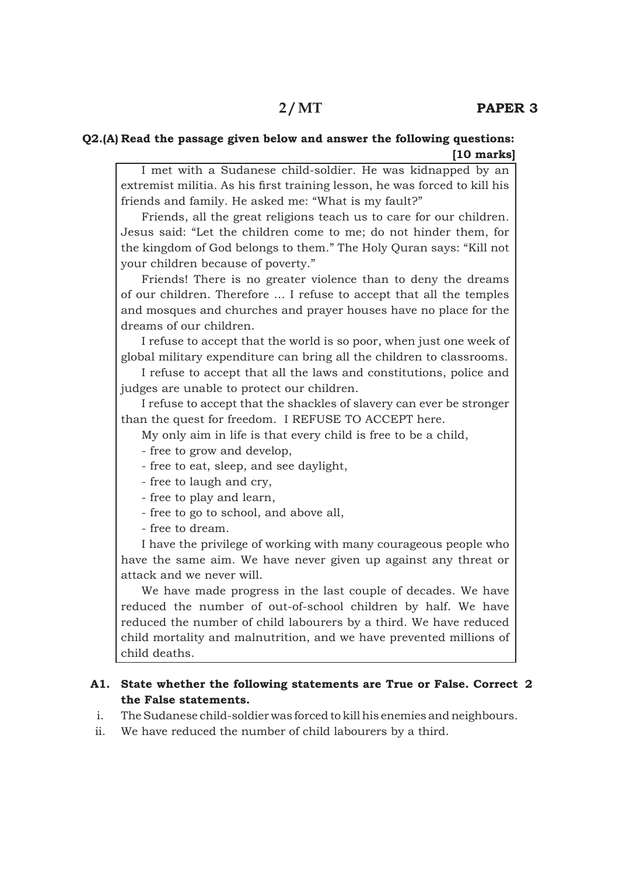### **Q2.(A) Read the passage given below and answer the following questions: [10 marks]**

 I met with a Sudanese child-soldier. He was kidnapped by an extremist militia. As his first training lesson, he was forced to kill his friends and family. He asked me: "What is my fault?"

 Friends, all the great religions teach us to care for our children. Jesus said: "Let the children come to me; do not hinder them, for the kingdom of God belongs to them." The Holy Quran says: "Kill not your children because of poverty."

 Friends! There is no greater violence than to deny the dreams of our children. Therefore ... I refuse to accept that all the temples and mosques and churches and prayer houses have no place for the dreams of our children.

 I refuse to accept that the world is so poor, when just one week of global military expenditure can bring all the children to classrooms.

 I refuse to accept that all the laws and constitutions, police and judges are unable to protect our children.

 I refuse to accept that the shackles of slavery can ever be stronger than the quest for freedom. I REFUSE TO ACCEPT here.

My only aim in life is that every child is free to be a child,

- free to grow and develop,
- free to eat, sleep, and see daylight,
- free to laugh and cry,
- free to play and learn,
- free to go to school, and above all,

- free to dream.

 I have the privilege of working with many courageous people who have the same aim. We have never given up against any threat or attack and we never will.

 We have made progress in the last couple of decades. We have reduced the number of out-of-school children by half. We have reduced the number of child labourers by a third. We have reduced child mortality and malnutrition, and we have prevented millions of child deaths.

#### **A1. State whether the following statements are True or False. Correct 2the False statements.**

- i. The Sudanese child-soldier was forced to kill his enemies and neighbours.
- ii. We have reduced the number of child labourers by a third.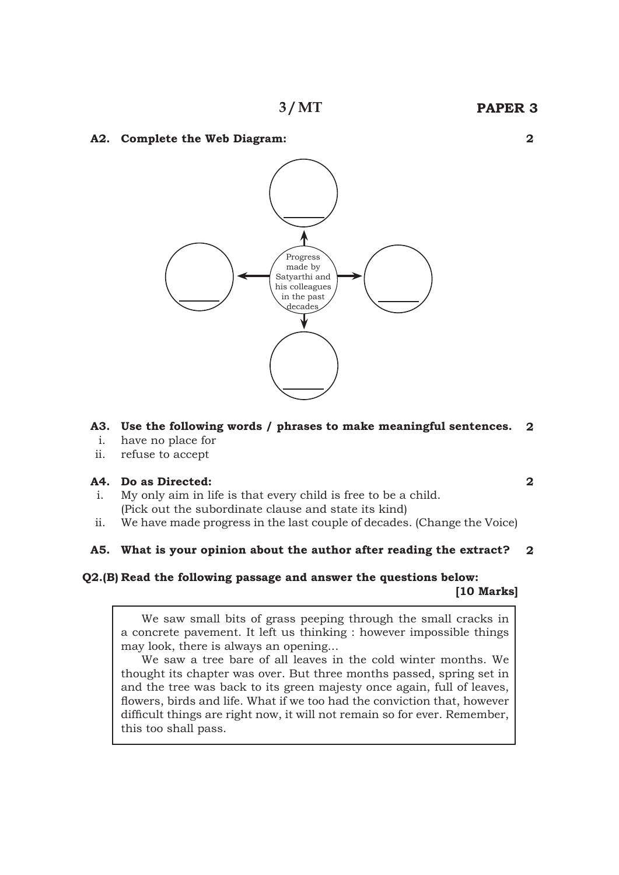#### **A2. Complete the Web Diagram:**



#### **A3. Use the following words / phrases to make meaningful sentences. 2**

- i. have no place for
- ii. refuse to accept

#### **A4. Do as Directed:**

- i. My only aim in life is that every child is free to be a child. (Pick out the subordinate clause and state its kind)
- ii. We have made progress in the last couple of decades. (Change the Voice)

#### **A5. What is your opinion about the author after reading the extract? 2**

# **Q2.(B) Read the following passage and answer the questions below:**

 **[10 Marks]**

**2**

 We saw small bits of grass peeping through the small cracks in a concrete pavement. It left us thinking : however impossible things may look, there is always an opening...

 We saw a tree bare of all leaves in the cold winter months. We thought its chapter was over. But three months passed, spring set in and the tree was back to its green majesty once again, full of leaves, flowers, birds and life. What if we too had the conviction that, however difficult things are right now, it will not remain so for ever. Remember, this too shall pass.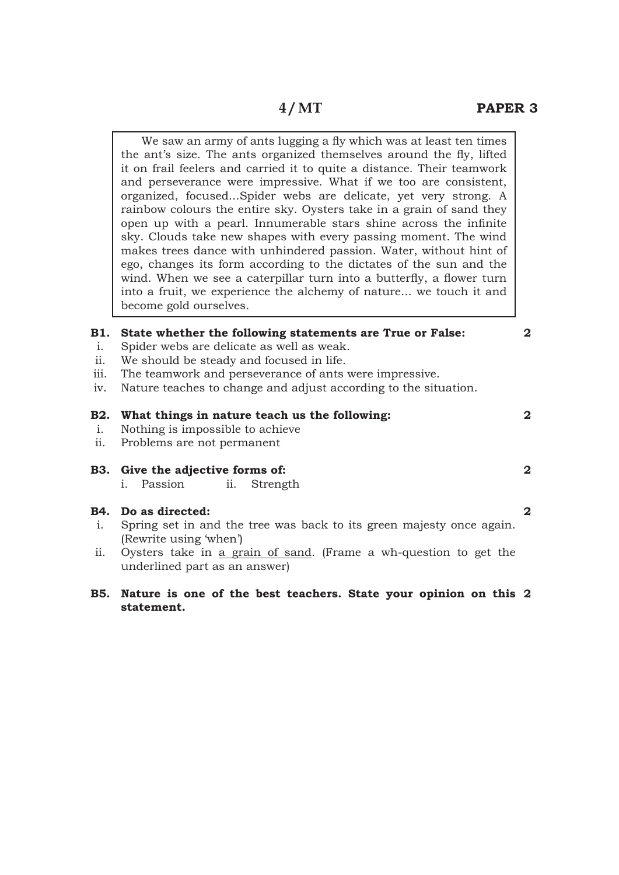We saw an army of ants lugging a fly which was at least ten times the ant's size. The ants organized themselves around the fly, lifted it on frail feelers and carried it to quite a distance. Their teamwork and perseverance were impressive. What if we too are consistent, organized, focused...Spider webs are delicate, yet very strong. A rainbow colours the entire sky. Oysters take in a grain of sand they open up with a pearl. Innumerable stars shine across the infinite sky. Clouds take new shapes with every passing moment. The wind makes trees dance with unhindered passion. Water, without hint of ego, changes its form according to the dictates of the sun and the wind. When we see a caterpillar turn into a butterfly, a flower turn into a fruit, we experience the alchemy of nature... we touch it and become gold ourselves.

#### **B1. State whether the following statements are True or False:**

- i. Spider webs are delicate as well as weak.
- ii. We should be steady and focused in life.
- iii. The teamwork and perseverance of ants were impressive.
- iv. Nature teaches to change and adjust according to the situation.

# **B2. What things in nature teach us the following:**

- i. Nothing is impossible to achieve
- ii. Problems are not permanent
- **B3. Give the adjective forms of:**  i. Passion ii. Strength

#### **B4. Do as directed:**

- i. Spring set in and the tree was back to its green majesty once again. (Rewrite using 'when')
- ii. Oysters take in a grain of sand. (Frame a wh-question to get the underlined part as an answer)
- **B5. Nature is one of the best teachers. State your opinion on this 2statement.**

#### **2**

**2**

**2**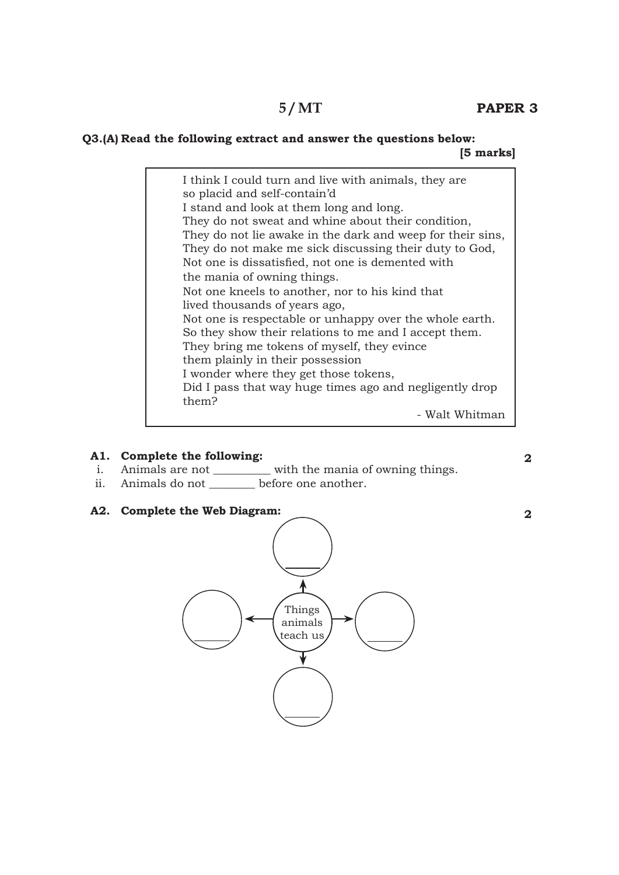# **5 / MT**

## **Q3.(A) Read the following extract and answer the questions below: [5 marks]**

I think I could turn and live with animals, they are so placid and self-contain'd I stand and look at them long and long. They do not sweat and whine about their condition, They do not lie awake in the dark and weep for their sins, They do not make me sick discussing their duty to God, Not one is dissatisfied, not one is demented with the mania of owning things. Not one kneels to another, nor to his kind that lived thousands of years ago, Not one is respectable or unhappy over the whole earth. So they show their relations to me and I accept them. They bring me tokens of myself, they evince them plainly in their possession I wonder where they get those tokens, Did I pass that way huge times ago and negligently drop them? - Walt Whitman

## **A1. Complete the following:**

- i. Animals are not \_\_\_\_\_\_\_\_\_\_\_ with the mania of owning things.
- ii. Animals do not before one another.
- **A2. Complete the Web Diagram:**

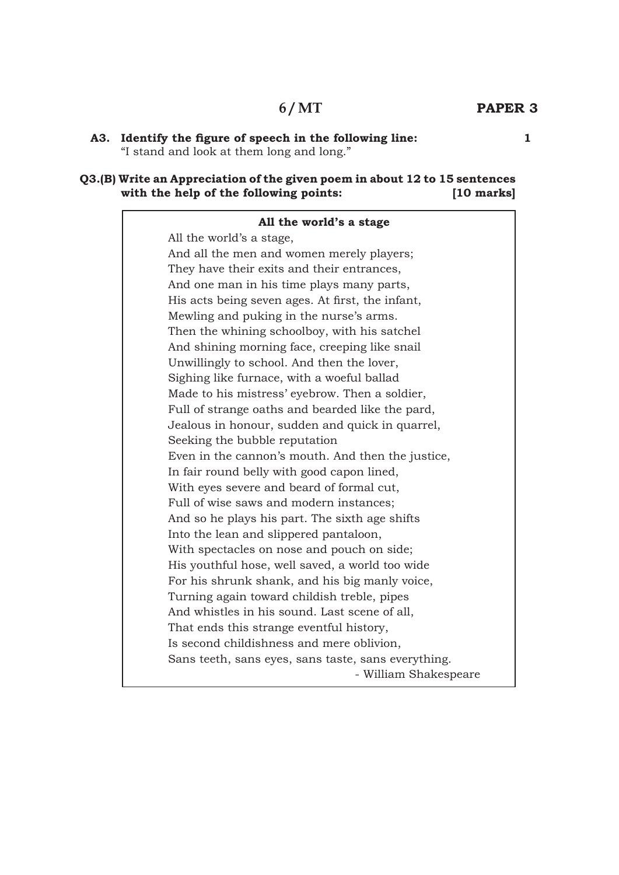# **PAPER 3 6 / MT**

#### **Q3.(B) Write an Appreciation of the given poem in about 12 to 15 sentences with the help of the following points: [10 marks]**

| All the world's a stage                             |  |
|-----------------------------------------------------|--|
| All the world's a stage,                            |  |
| And all the men and women merely players;           |  |
| They have their exits and their entrances,          |  |
| And one man in his time plays many parts,           |  |
| His acts being seven ages. At first, the infant,    |  |
| Mewling and puking in the nurse's arms.             |  |
| Then the whining schoolboy, with his satchel        |  |
| And shining morning face, creeping like snail       |  |
| Unwillingly to school. And then the lover,          |  |
| Sighing like furnace, with a woeful ballad          |  |
| Made to his mistress' eyebrow. Then a soldier,      |  |
| Full of strange oaths and bearded like the pard,    |  |
| Jealous in honour, sudden and quick in quarrel,     |  |
| Seeking the bubble reputation                       |  |
| Even in the cannon's mouth. And then the justice,   |  |
| In fair round belly with good capon lined,          |  |
| With eyes severe and beard of formal cut,           |  |
| Full of wise saws and modern instances;             |  |
| And so he plays his part. The sixth age shifts      |  |
| Into the lean and slippered pantaloon,              |  |
| With spectacles on nose and pouch on side;          |  |
| His youthful hose, well saved, a world too wide     |  |
| For his shrunk shank, and his big manly voice,      |  |
| Turning again toward childish treble, pipes         |  |
| And whistles in his sound. Last scene of all,       |  |
| That ends this strange eventful history,            |  |
| Is second childishness and mere oblivion,           |  |
| Sans teeth, sans eyes, sans taste, sans everything. |  |
| - William Shakespeare                               |  |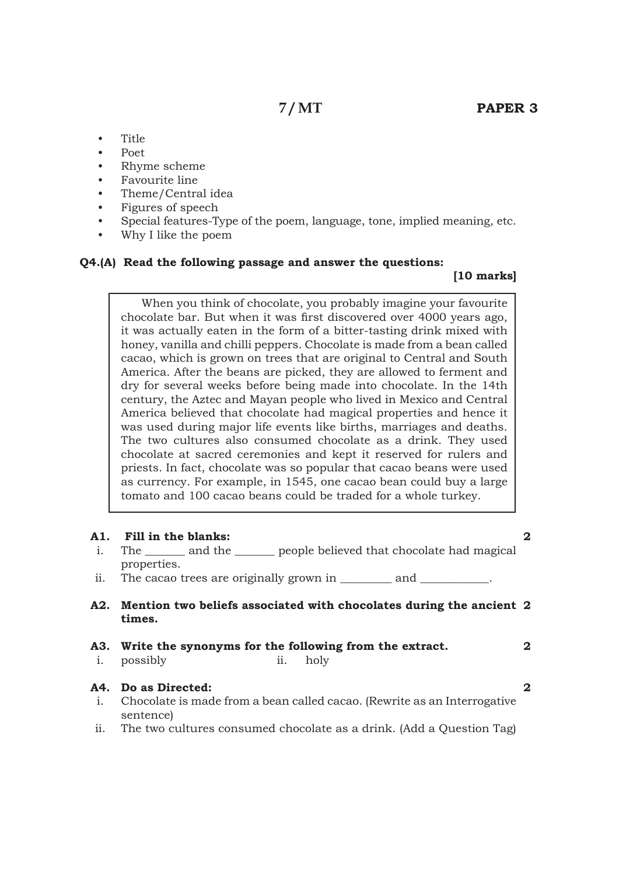- Title
- Poet
- Rhyme scheme
- Favourite line
- Theme/Central idea
- Figures of speech
- Special features-Type of the poem, language, tone, implied meaning, etc.
- Why I like the poem

#### **Q4.(A) Read the following passage and answer the questions:**

#### **[10 marks]**

 When you think of chocolate, you probably imagine your favourite chocolate bar. But when it was first discovered over 4000 years ago, it was actually eaten in the form of a bitter-tasting drink mixed with honey, vanilla and chilli peppers. Chocolate is made from a bean called cacao, which is grown on trees that are original to Central and South America. After the beans are picked, they are allowed to ferment and dry for several weeks before being made into chocolate. In the 14th century, the Aztec and Mayan people who lived in Mexico and Central America believed that chocolate had magical properties and hence it was used during major life events like births, marriages and deaths. The two cultures also consumed chocolate as a drink. They used chocolate at sacred ceremonies and kept it reserved for rulers and priests. In fact, chocolate was so popular that cacao beans were used as currency. For example, in 1545, one cacao bean could buy a large tomato and 100 cacao beans could be traded for a whole turkey.

| A1.            | <b>Fill in the blanks:</b>                                                            | 2            |
|----------------|---------------------------------------------------------------------------------------|--------------|
| i.             | The ________ and the ________ people believed that chocolate had magical              |              |
|                | properties.                                                                           |              |
| ii.            | The cacao trees are originally grown in __________ and ___________.                   |              |
|                | A2. Mention two beliefs associated with chocolates during the ancient 2<br>times.     |              |
|                |                                                                                       |              |
| $\mathbf{i}$ . | A3. Write the synonyms for the following from the extract.<br>ii. holy<br>possibly    | $\mathbf{2}$ |
|                | A4. Do as Directed:                                                                   | 2            |
| $\mathbf{i}$ . | Chocolate is made from a bean called cacao. (Rewrite as an Interrogative<br>sentence) |              |
| ii.            | The two cultures consumed chocolate as a drink. (Add a Question Tag)                  |              |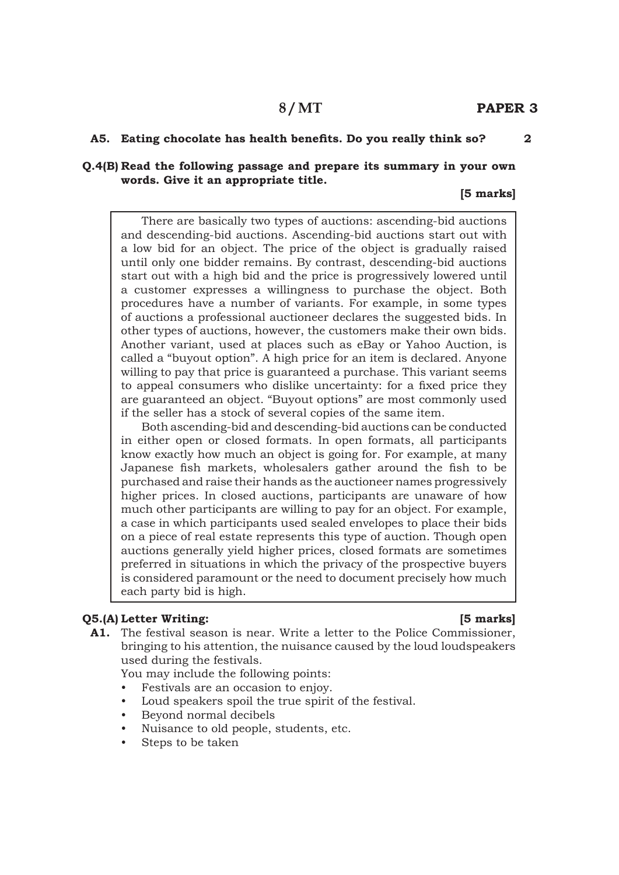## **8 / MT**

**2**

#### **A5. Eating chocolate has health benefits. Do you really think so?**

#### **Q.4(B) Read the following passage and prepare its summary in your own words. Give it an appropriate title.**

#### **[5 marks]**

 There are basically two types of auctions: ascending-bid auctions and descending-bid auctions. Ascending-bid auctions start out with a low bid for an object. The price of the object is gradually raised until only one bidder remains. By contrast, descending-bid auctions start out with a high bid and the price is progressively lowered until a customer expresses a willingness to purchase the object. Both procedures have a number of variants. For example, in some types of auctions a professional auctioneer declares the suggested bids. In other types of auctions, however, the customers make their own bids. Another variant, used at places such as eBay or Yahoo Auction, is called a "buyout option". A high price for an item is declared. Anyone willing to pay that price is guaranteed a purchase. This variant seems to appeal consumers who dislike uncertainty: for a fixed price they are guaranteed an object. "Buyout options" are most commonly used if the seller has a stock of several copies of the same item.

 Both ascending-bid and descending-bid auctions can be conducted in either open or closed formats. In open formats, all participants know exactly how much an object is going for. For example, at many Japanese fish markets, wholesalers gather around the fish to be purchased and raise their hands as the auctioneer names progressively higher prices. In closed auctions, participants are unaware of how much other participants are willing to pay for an object. For example, a case in which participants used sealed envelopes to place their bids on a piece of real estate represents this type of auction. Though open auctions generally yield higher prices, closed formats are sometimes preferred in situations in which the privacy of the prospective buyers is considered paramount or the need to document precisely how much each party bid is high.

#### **Q5.(A) Letter Writing: [5 marks]**

**A1.** The festival season is near. Write a letter to the Police Commissioner, bringing to his attention, the nuisance caused by the loud loudspeakers used during the festivals.

You may include the following points:

Festivals are an occasion to enjoy.

- Loud speakers spoil the true spirit of the festival.
- Beyond normal decibels
- Nuisance to old people, students, etc.
- Steps to be taken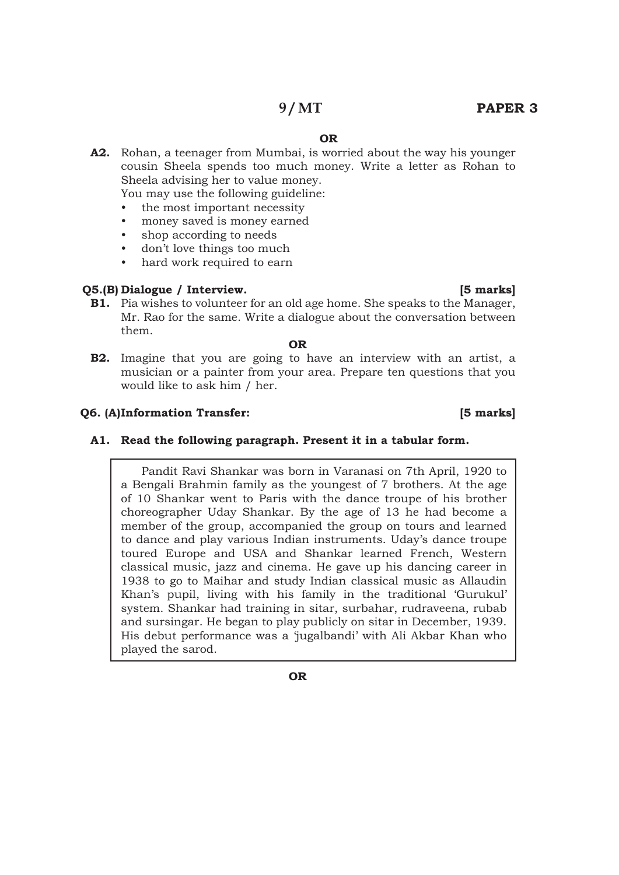## **9 / MT**

## **PAPER 3**

#### **OR**

**A2.** Rohan, a teenager from Mumbai, is worried about the way his younger cousin Sheela spends too much money. Write a letter as Rohan to Sheela advising her to value money.

You may use the following guideline:

- the most important necessity
- money saved is money earned
- shop according to needs
- don't love things too much
- hard work required to earn

#### **Q5.(B) Dialogue / Interview. [5 marks]**

**B1.** Pia wishes to volunteer for an old age home. She speaks to the Manager, Mr. Rao for the same. Write a dialogue about the conversation between them.

#### **OR**

**B2.** Imagine that you are going to have an interview with an artist, a musician or a painter from your area. Prepare ten questions that you would like to ask him / her.

#### **Q6. (A)Information Transfer: [5 marks]**

#### **A1. Read the following paragraph. Present it in a tabular form.**

Pandit Ravi Shankar was born in Varanasi on 7th April, 1920 to a Bengali Brahmin family as the youngest of 7 brothers. At the age of 10 Shankar went to Paris with the dance troupe of his brother choreographer Uday Shankar. By the age of 13 he had become a member of the group, accompanied the group on tours and learned to dance and play various Indian instruments. Uday's dance troupe toured Europe and USA and Shankar learned French, Western classical music, jazz and cinema. He gave up his dancing career in 1938 to go to Maihar and study Indian classical music as Allaudin Khan's pupil, living with his family in the traditional 'Gurukul' system. Shankar had training in sitar, surbahar, rudraveena, rubab and sursingar. He began to play publicly on sitar in December, 1939. His debut performance was a 'jugalbandi' with Ali Akbar Khan who played the sarod.

**OR**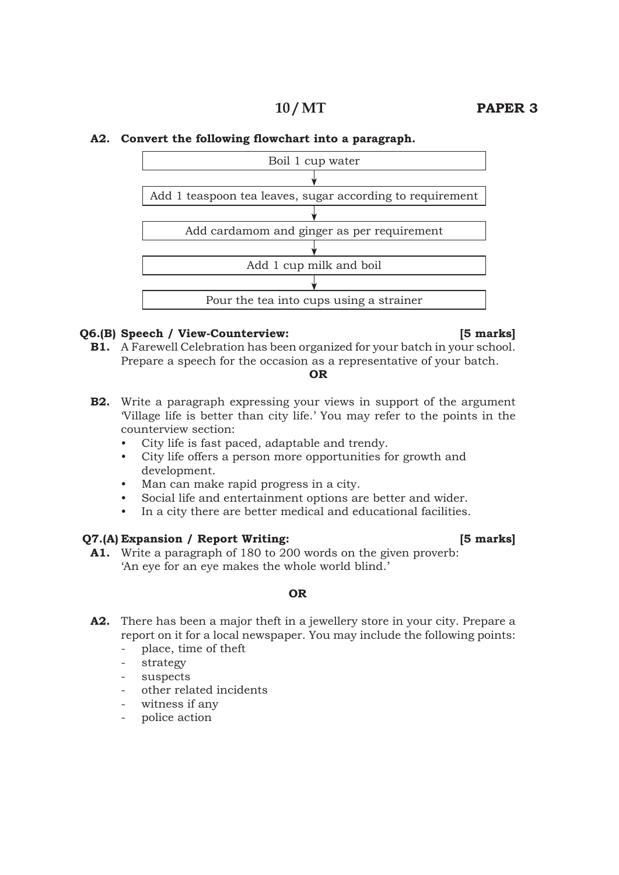#### **PAPER 3 10 / MT**

#### **A2. Convert the following flowchart into a paragraph.**



#### **Q6.(B) Speech / View-Counterview: [5 marks]**

**B1.** A Farewell Celebration has been organized for your batch in your school. Prepare a speech for the occasion as a representative of your batch.

#### **OR**

- **B2.** Write a paragraph expressing your views in support of the argument 'Village life is better than city life.' You may refer to the points in the counterview section:
	- City life is fast paced, adaptable and trendy.
	- • City life offers a person more opportunities for growth and development.
	- Man can make rapid progress in a city.
	- • Social life and entertainment options are better and wider.
	- In a city there are better medical and educational facilities.

#### **Q7.(A) Expansion / Report Writing: [5 marks]**

**A1.** Write a paragraph of 180 to 200 words on the given proverb: 'An eye for an eye makes the whole world blind.'

#### **OR**

- **A2.** There has been a major theft in a jewellery store in your city. Prepare a report on it for a local newspaper. You may include the following points:
	- place, time of theft
	- strategy
	- suspects
	- other related incidents
	- witness if any
	- police action